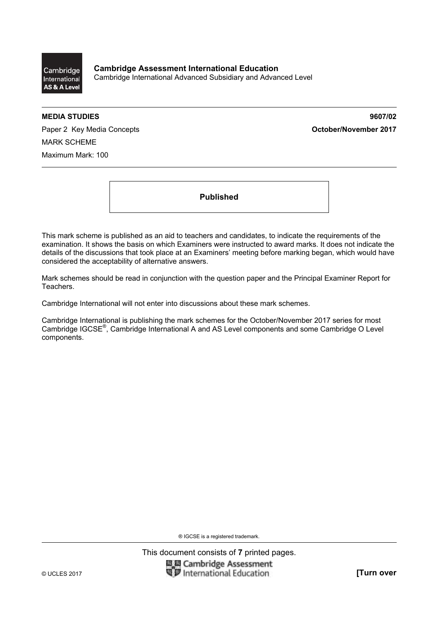

**MEDIA STUDIES 9607/02** 

Paper 2 Key Media Concepts **Concepts Concepts Concepts October/November 2017** MARK SCHEME Maximum Mark: 100

**Published** 

This mark scheme is published as an aid to teachers and candidates, to indicate the requirements of the examination. It shows the basis on which Examiners were instructed to award marks. It does not indicate the details of the discussions that took place at an Examiners' meeting before marking began, which would have considered the acceptability of alternative answers.

Mark schemes should be read in conjunction with the question paper and the Principal Examiner Report for Teachers.

Cambridge International will not enter into discussions about these mark schemes.

Cambridge International is publishing the mark schemes for the October/November 2017 series for most Cambridge IGCSE®, Cambridge International A and AS Level components and some Cambridge O Level components.

® IGCSE is a registered trademark.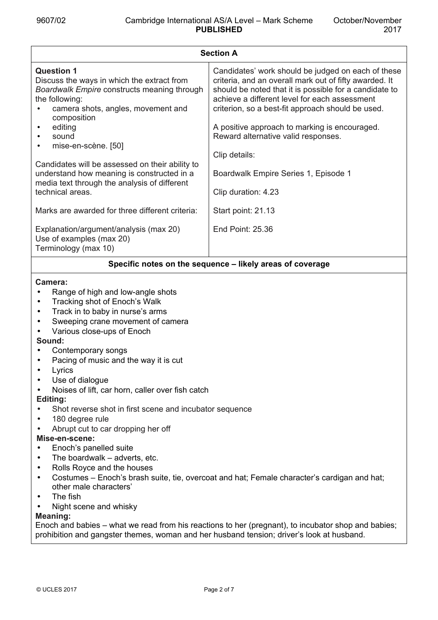| <b>Section A</b>                                                                                                                                                                      |                                                                                                                                                                                                                                                                              |  |  |
|---------------------------------------------------------------------------------------------------------------------------------------------------------------------------------------|------------------------------------------------------------------------------------------------------------------------------------------------------------------------------------------------------------------------------------------------------------------------------|--|--|
| <b>Question 1</b><br>Discuss the ways in which the extract from<br>Boardwalk Empire constructs meaning through<br>the following:<br>camera shots, angles, movement and<br>composition | Candidates' work should be judged on each of these<br>criteria, and an overall mark out of fifty awarded. It<br>should be noted that it is possible for a candidate to<br>achieve a different level for each assessment<br>criterion, so a best-fit approach should be used. |  |  |
| editing<br>sound<br>mise-en-scène. [50]                                                                                                                                               | A positive approach to marking is encouraged.<br>Reward alternative valid responses.                                                                                                                                                                                         |  |  |
|                                                                                                                                                                                       | Clip details:                                                                                                                                                                                                                                                                |  |  |
| Candidates will be assessed on their ability to<br>understand how meaning is constructed in a<br>media text through the analysis of different                                         | Boardwalk Empire Series 1, Episode 1                                                                                                                                                                                                                                         |  |  |
| technical areas.                                                                                                                                                                      | Clip duration: 4.23                                                                                                                                                                                                                                                          |  |  |
| Marks are awarded for three different criteria:                                                                                                                                       | Start point: 21.13                                                                                                                                                                                                                                                           |  |  |
| Explanation/argument/analysis (max 20)<br>Use of examples (max 20)<br>Terminology (max 10)                                                                                            | End Point: 25.36                                                                                                                                                                                                                                                             |  |  |
|                                                                                                                                                                                       |                                                                                                                                                                                                                                                                              |  |  |

# **Specific notes on the sequence – likely areas of coverage**

### **Camera:**

- Range of high and low-angle shots
- Tracking shot of Enoch's Walk
- Track in to baby in nurse's arms
- Sweeping crane movement of camera
- Various close-ups of Enoch

### **Sound:**

- Contemporary songs
- Pacing of music and the way it is cut
- **Lyrics**
- Use of dialogue
- Noises of lift, car horn, caller over fish catch

# **Editing:**

- Shot reverse shot in first scene and incubator sequence
- 180 degree rule
- Abrupt cut to car dropping her off

# **Mise-en-scene:**

- Enoch's panelled suite
- The boardwalk adverts, etc.
- Rolls Royce and the houses
- Costumes Enoch's brash suite, tie, overcoat and hat; Female character's cardigan and hat; other male characters'
- The fish
- Night scene and whisky

# **Meaning:**

Enoch and babies – what we read from his reactions to her (pregnant), to incubator shop and babies; prohibition and gangster themes, woman and her husband tension; driver's look at husband.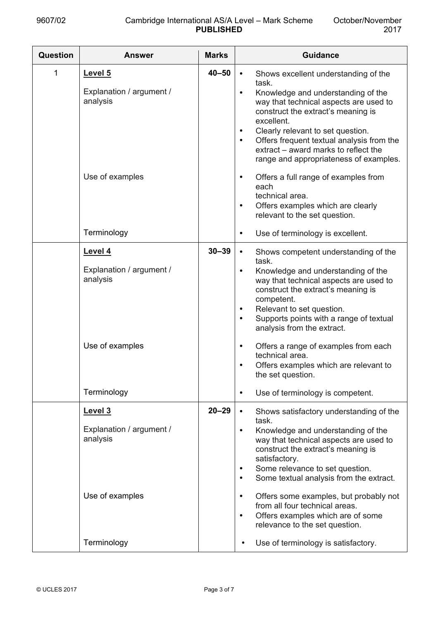| <b>Question</b> | <b>Answer</b>                                                                     | <b>Marks</b> | <b>Guidance</b>                                                                                                                                                                                                                                                                                                                                                                                                                                                                                                                                 |
|-----------------|-----------------------------------------------------------------------------------|--------------|-------------------------------------------------------------------------------------------------------------------------------------------------------------------------------------------------------------------------------------------------------------------------------------------------------------------------------------------------------------------------------------------------------------------------------------------------------------------------------------------------------------------------------------------------|
| 1               | Level 5<br>Explanation / argument /<br>analysis                                   | $40 - 50$    | Shows excellent understanding of the<br>$\bullet$<br>task.<br>Knowledge and understanding of the<br>$\bullet$<br>way that technical aspects are used to<br>construct the extract's meaning is<br>excellent.<br>Clearly relevant to set question.<br>$\bullet$<br>Offers frequent textual analysis from the<br>$\bullet$<br>extract – award marks to reflect the<br>range and appropriateness of examples.                                                                                                                                       |
|                 | Use of examples                                                                   |              | Offers a full range of examples from<br>$\bullet$<br>each<br>technical area.<br>Offers examples which are clearly<br>$\bullet$<br>relevant to the set question.                                                                                                                                                                                                                                                                                                                                                                                 |
|                 | Terminology                                                                       |              | Use of terminology is excellent.<br>$\bullet$                                                                                                                                                                                                                                                                                                                                                                                                                                                                                                   |
|                 | Level 4<br>Explanation / argument /<br>analysis<br>Use of examples<br>Terminology | $30 - 39$    | Shows competent understanding of the<br>$\bullet$<br>task.<br>Knowledge and understanding of the<br>$\bullet$<br>way that technical aspects are used to<br>construct the extract's meaning is<br>competent.<br>Relevant to set question.<br>$\bullet$<br>Supports points with a range of textual<br>$\bullet$<br>analysis from the extract.<br>Offers a range of examples from each<br>$\bullet$<br>technical area.<br>Offers examples which are relevant to<br>$\bullet$<br>the set question.<br>Use of terminology is competent.<br>$\bullet$ |
|                 | Level 3<br>Explanation / argument /<br>analysis<br>Use of examples                | $20 - 29$    | Shows satisfactory understanding of the<br>$\bullet$<br>task.<br>Knowledge and understanding of the<br>$\bullet$<br>way that technical aspects are used to<br>construct the extract's meaning is<br>satisfactory.<br>Some relevance to set question.<br>$\bullet$<br>Some textual analysis from the extract.<br>$\bullet$<br>Offers some examples, but probably not<br>$\bullet$<br>from all four technical areas.<br>Offers examples which are of some<br>$\bullet$<br>relevance to the set question.                                          |
|                 | Terminology                                                                       |              | Use of terminology is satisfactory.<br>$\bullet$                                                                                                                                                                                                                                                                                                                                                                                                                                                                                                |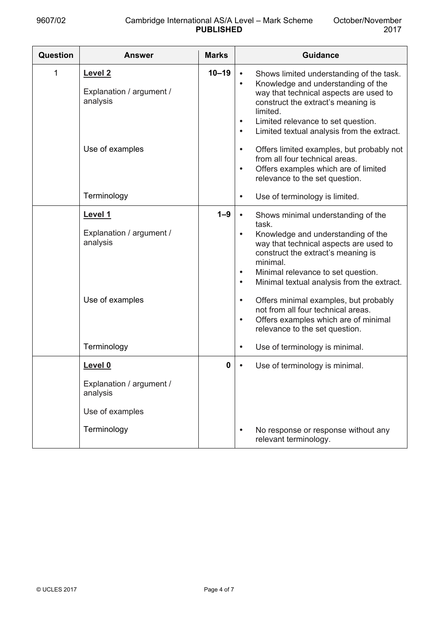| <b>Question</b> | <b>Answer</b>                                                                     | <b>Marks</b> | <b>Guidance</b>                                                                                                                                                                                                                                                                                                                                                                                                                                                                                          |
|-----------------|-----------------------------------------------------------------------------------|--------------|----------------------------------------------------------------------------------------------------------------------------------------------------------------------------------------------------------------------------------------------------------------------------------------------------------------------------------------------------------------------------------------------------------------------------------------------------------------------------------------------------------|
| 1               | Level <sub>2</sub><br>Explanation / argument /<br>analysis                        | $10 - 19$    | Shows limited understanding of the task.<br>$\bullet$<br>Knowledge and understanding of the<br>$\bullet$<br>way that technical aspects are used to<br>construct the extract's meaning is<br>limited.<br>Limited relevance to set question.<br>$\bullet$<br>Limited textual analysis from the extract.<br>$\bullet$                                                                                                                                                                                       |
|                 | Use of examples                                                                   |              | Offers limited examples, but probably not<br>$\bullet$<br>from all four technical areas.<br>Offers examples which are of limited<br>$\bullet$<br>relevance to the set question.                                                                                                                                                                                                                                                                                                                          |
|                 | Terminology                                                                       |              | Use of terminology is limited.<br>$\bullet$                                                                                                                                                                                                                                                                                                                                                                                                                                                              |
|                 | Level 1<br>Explanation / argument /<br>analysis<br>Use of examples                | $1 - 9$      | Shows minimal understanding of the<br>$\bullet$<br>task.<br>Knowledge and understanding of the<br>$\bullet$<br>way that technical aspects are used to<br>construct the extract's meaning is<br>minimal.<br>Minimal relevance to set question.<br>$\bullet$<br>Minimal textual analysis from the extract.<br>$\bullet$<br>Offers minimal examples, but probably<br>$\bullet$<br>not from all four technical areas.<br>Offers examples which are of minimal<br>$\bullet$<br>relevance to the set question. |
|                 | Terminology                                                                       |              | Use of terminology is minimal.<br>$\bullet$                                                                                                                                                                                                                                                                                                                                                                                                                                                              |
|                 | Level 0<br>Explanation / argument /<br>analysis<br>Use of examples<br>Terminology | 0            | Use of terminology is minimal.<br>No response or response without any<br>$\bullet$                                                                                                                                                                                                                                                                                                                                                                                                                       |
|                 |                                                                                   |              | relevant terminology.                                                                                                                                                                                                                                                                                                                                                                                                                                                                                    |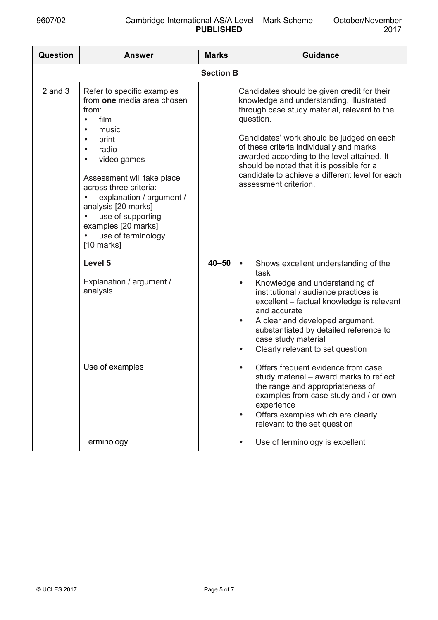| <b>Question</b> | <b>Answer</b>                                                                                                                                                                                                                                                                                                                                                        | <b>Marks</b>     | <b>Guidance</b>                                                                                                                                                                                                                                                                                                                                                                                                                                                                                                                                                                                                                                     |
|-----------------|----------------------------------------------------------------------------------------------------------------------------------------------------------------------------------------------------------------------------------------------------------------------------------------------------------------------------------------------------------------------|------------------|-----------------------------------------------------------------------------------------------------------------------------------------------------------------------------------------------------------------------------------------------------------------------------------------------------------------------------------------------------------------------------------------------------------------------------------------------------------------------------------------------------------------------------------------------------------------------------------------------------------------------------------------------------|
|                 |                                                                                                                                                                                                                                                                                                                                                                      | <b>Section B</b> |                                                                                                                                                                                                                                                                                                                                                                                                                                                                                                                                                                                                                                                     |
| $2$ and $3$     | Refer to specific examples<br>from one media area chosen<br>from:<br>film<br>$\bullet$<br>music<br>print<br>$\bullet$<br>radio<br>$\bullet$<br>video games<br>$\bullet$<br>Assessment will take place<br>across three criteria:<br>explanation / argument /<br>analysis [20 marks]<br>use of supporting<br>examples [20 marks]<br>use of terminology<br>$[10$ marks] |                  | Candidates should be given credit for their<br>knowledge and understanding, illustrated<br>through case study material, relevant to the<br>question.<br>Candidates' work should be judged on each<br>of these criteria individually and marks<br>awarded according to the level attained. It<br>should be noted that it is possible for a<br>candidate to achieve a different level for each<br>assessment criterion.                                                                                                                                                                                                                               |
|                 | Level 5<br>Explanation / argument /<br>analysis<br>Use of examples                                                                                                                                                                                                                                                                                                   | $40 - 50$        | Shows excellent understanding of the<br>$\bullet$<br>task<br>Knowledge and understanding of<br>$\bullet$<br>institutional / audience practices is<br>excellent - factual knowledge is relevant<br>and accurate<br>A clear and developed argument,<br>$\bullet$<br>substantiated by detailed reference to<br>case study material<br>Clearly relevant to set question<br>$\bullet$<br>Offers frequent evidence from case<br>٠<br>study material - award marks to reflect<br>the range and appropriateness of<br>examples from case study and / or own<br>experience<br>Offers examples which are clearly<br>$\bullet$<br>relevant to the set question |
|                 | Terminology                                                                                                                                                                                                                                                                                                                                                          |                  | Use of terminology is excellent                                                                                                                                                                                                                                                                                                                                                                                                                                                                                                                                                                                                                     |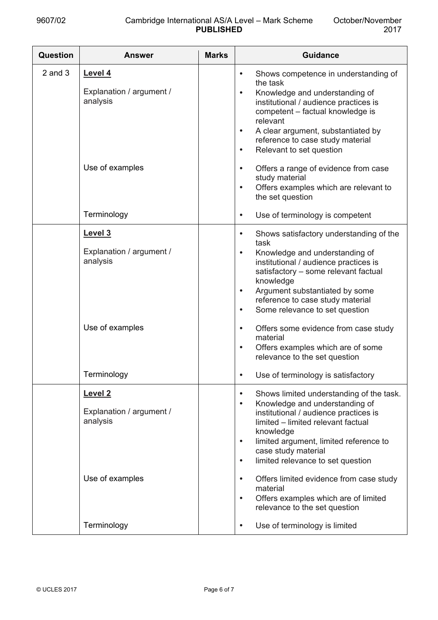| <b>Question</b> | <b>Answer</b>                                                                 | <b>Marks</b> | <b>Guidance</b>                                                                                                                                                                                                                                                                                                                                                                                                                                                                                 |
|-----------------|-------------------------------------------------------------------------------|--------------|-------------------------------------------------------------------------------------------------------------------------------------------------------------------------------------------------------------------------------------------------------------------------------------------------------------------------------------------------------------------------------------------------------------------------------------------------------------------------------------------------|
| $2$ and $3$     | Level 4<br>Explanation / argument /<br>analysis<br>Use of examples            |              | Shows competence in understanding of<br>$\bullet$<br>the task<br>Knowledge and understanding of<br>$\bullet$<br>institutional / audience practices is<br>competent - factual knowledge is<br>relevant<br>A clear argument, substantiated by<br>$\bullet$<br>reference to case study material<br>Relevant to set question<br>$\bullet$<br>Offers a range of evidence from case<br>$\bullet$<br>study material<br>Offers examples which are relevant to<br>$\bullet$<br>the set question          |
|                 | Terminology                                                                   |              | Use of terminology is competent<br>$\bullet$                                                                                                                                                                                                                                                                                                                                                                                                                                                    |
|                 | Level 3<br>Explanation / argument /<br>analysis<br>Use of examples            |              | Shows satisfactory understanding of the<br>$\bullet$<br>task<br>Knowledge and understanding of<br>$\bullet$<br>institutional / audience practices is<br>satisfactory - some relevant factual<br>knowledge<br>Argument substantiated by some<br>$\bullet$<br>reference to case study material<br>Some relevance to set question<br>$\bullet$<br>Offers some evidence from case study<br>$\bullet$<br>material<br>Offers examples which are of some<br>$\bullet$<br>relevance to the set question |
|                 | Terminology                                                                   |              | Use of terminology is satisfactory                                                                                                                                                                                                                                                                                                                                                                                                                                                              |
|                 | Level <sub>2</sub><br>Explanation / argument /<br>analysis<br>Use of examples |              | Shows limited understanding of the task.<br>$\bullet$<br>Knowledge and understanding of<br>$\bullet$<br>institutional / audience practices is<br>limited - limited relevant factual<br>knowledge<br>limited argument, limited reference to<br>$\bullet$<br>case study material<br>limited relevance to set question<br>$\bullet$<br>Offers limited evidence from case study<br>$\bullet$<br>material<br>Offers examples which are of limited<br>$\bullet$<br>relevance to the set question      |
|                 | Terminology                                                                   |              | Use of terminology is limited<br>$\bullet$                                                                                                                                                                                                                                                                                                                                                                                                                                                      |